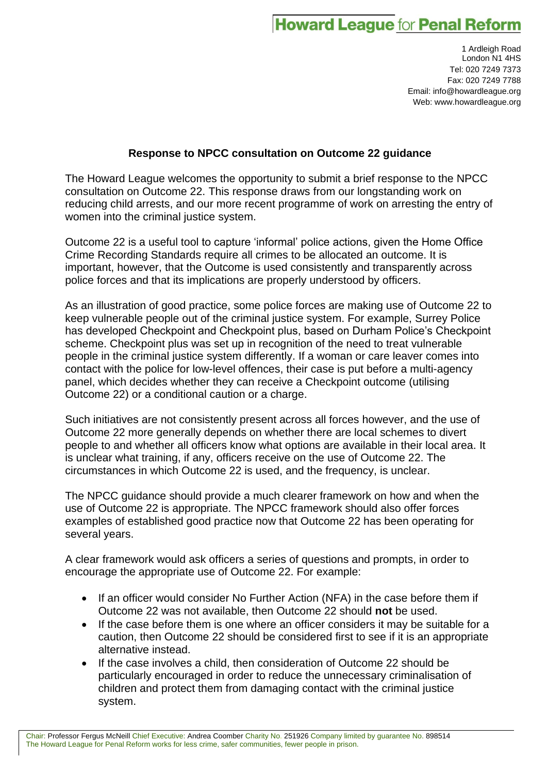## **Howard League for Penal Reform**

1 Ardleigh Road London N1 4HS Tel: 020 7249 7373 Fax: 020 7249 7788 Email: info@howardleague.org Web: www.howardleague.org

## **Response to NPCC consultation on Outcome 22 guidance**

The Howard League welcomes the opportunity to submit a brief response to the NPCC consultation on Outcome 22. This response draws from our longstanding work on reducing child arrests, and our more recent programme of work on arresting the entry of women into the criminal justice system.

Outcome 22 is a useful tool to capture 'informal' police actions, given the Home Office Crime Recording Standards require all crimes to be allocated an outcome. It is important, however, that the Outcome is used consistently and transparently across police forces and that its implications are properly understood by officers.

As an illustration of good practice, some police forces are making use of Outcome 22 to keep vulnerable people out of the criminal justice system. For example, Surrey Police has developed Checkpoint and Checkpoint plus, based on Durham Police's Checkpoint scheme. Checkpoint plus was set up in recognition of the need to treat vulnerable people in the criminal justice system differently. If a woman or care leaver comes into contact with the police for low-level offences, their case is put before a multi-agency panel, which decides whether they can receive a Checkpoint outcome (utilising Outcome 22) or a conditional caution or a charge.

Such initiatives are not consistently present across all forces however, and the use of Outcome 22 more generally depends on whether there are local schemes to divert people to and whether all officers know what options are available in their local area. It is unclear what training, if any, officers receive on the use of Outcome 22. The circumstances in which Outcome 22 is used, and the frequency, is unclear.

The NPCC guidance should provide a much clearer framework on how and when the use of Outcome 22 is appropriate. The NPCC framework should also offer forces examples of established good practice now that Outcome 22 has been operating for several years.

A clear framework would ask officers a series of questions and prompts, in order to encourage the appropriate use of Outcome 22. For example:

- If an officer would consider No Further Action (NFA) in the case before them if Outcome 22 was not available, then Outcome 22 should **not** be used.
- If the case before them is one where an officer considers it may be suitable for a caution, then Outcome 22 should be considered first to see if it is an appropriate alternative instead.
- If the case involves a child, then consideration of Outcome 22 should be particularly encouraged in order to reduce the unnecessary criminalisation of children and protect them from damaging contact with the criminal justice system.